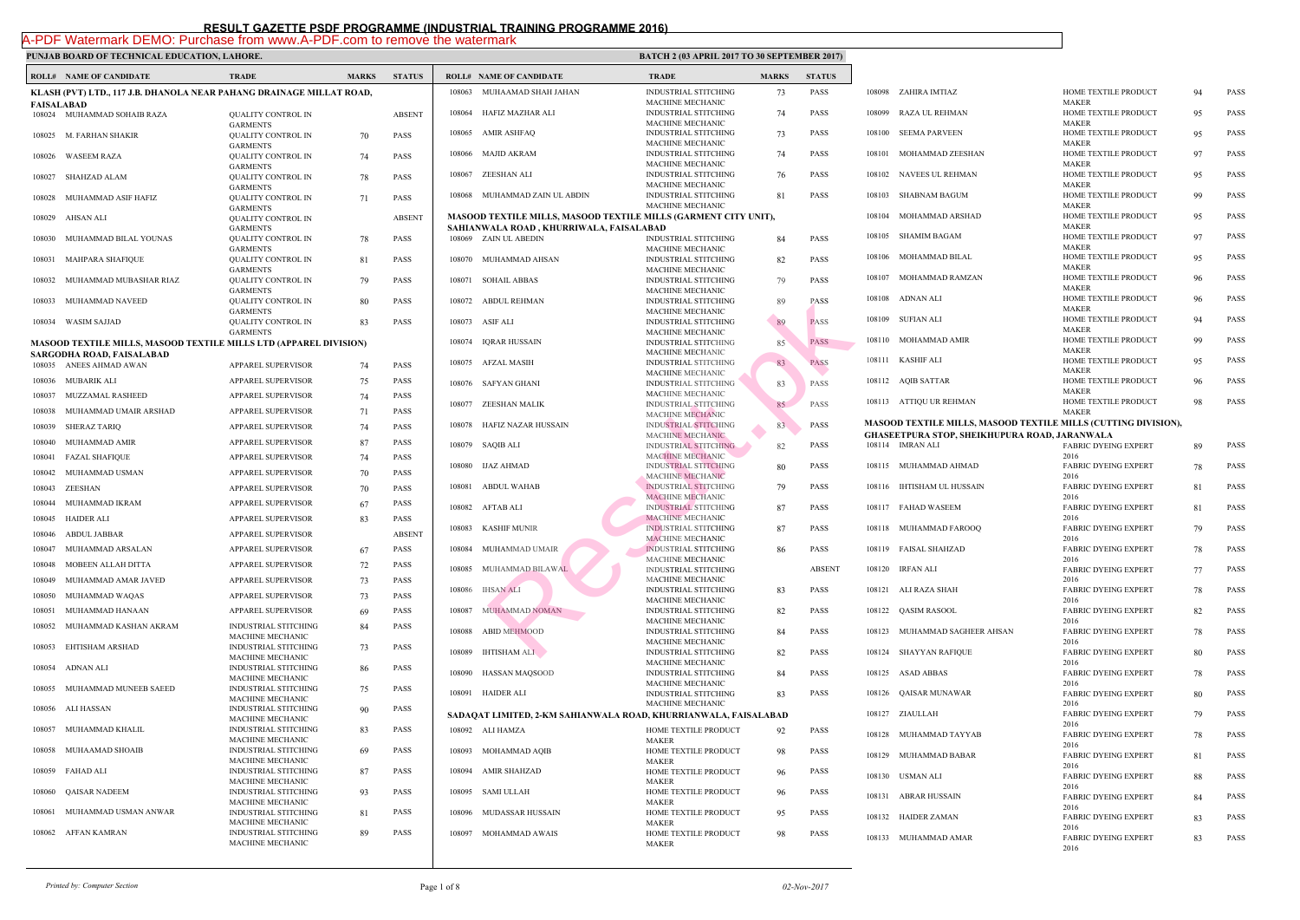|            | <b>ROLL# NAME OF CANDIDATE</b>                                           | <b>TRADE</b>                                                        | <b>MARKS</b> | <b>STATUS</b> |        | <b>ROLL# NAME OF CANDIDATE</b>                                    | <b>TRAL</b>                                |
|------------|--------------------------------------------------------------------------|---------------------------------------------------------------------|--------------|---------------|--------|-------------------------------------------------------------------|--------------------------------------------|
|            | KLASH (PVT) LTD., 117 J.B. DHANOLA NEAR PAHANG DRAINAGE MILLAT ROAD,     |                                                                     |              |               | 108063 | MUHAAMAD SHAH JAHAN                                               | <b>INDUS</b>                               |
| FAISALABAD |                                                                          |                                                                     |              |               |        |                                                                   | <b>MACH</b>                                |
|            | 108024 MUHAMMAD SOHAIB RAZA                                              | <b>QUALITY CONTROL IN</b><br><b>GARMENTS</b>                        |              | <b>ABSENT</b> | 108064 | HAFIZ MAZHAR ALI                                                  | <b>INDUS</b><br><b>MACH</b>                |
| 108025     | M. FARHAN SHAKIR                                                         | <b>QUALITY CONTROL IN</b><br><b>GARMENTS</b>                        | 70           | PASS          |        | 108065 AMIR ASHFAQ                                                | <b>INDUS</b><br><b>MACH</b>                |
| 108026     | <b>WASEEM RAZA</b>                                                       | QUALITY CONTROL IN                                                  | 74           | <b>PASS</b>   |        | 108066 MAJID AKRAM                                                | <b>INDUS</b><br><b>MACH</b>                |
| 108027     | SHAHZAD ALAM                                                             | <b>GARMENTS</b><br><b>OUALITY CONTROL IN</b><br><b>GARMENTS</b>     | 78           | PASS          | 108067 | ZEESHAN ALI                                                       | <b>INDUS</b><br><b>MACH</b>                |
| 108028     | MUHAMMAD ASIF HAFIZ                                                      | <b>QUALITY CONTROL IN</b><br><b>GARMENTS</b>                        | 71           | PASS          |        | 108068 MUHAMMAD ZAIN UL ABDIN                                     | <b>INDUS</b><br><b>MACH</b>                |
| 108029     | AHSAN ALI                                                                | QUALITY CONTROL IN                                                  |              | <b>ABSENT</b> |        | <b>MASOOD TEXTILE MILLS, MASOOD TEXTILE MILLS</b>                 |                                            |
| 108030     | MUHAMMAD BILAL YOUNAS                                                    | <b>GARMENTS</b><br>QUALITY CONTROL IN                               | 78           | PASS          |        | SAHIANWALA ROAD , KHURRIWALA, FAISALABAD<br>108069 ZAIN UL ABEDIN | <b>INDUS</b>                               |
| 108031     | MAHPARA SHAFIQUE                                                         | <b>GARMENTS</b><br><b>QUALITY CONTROL IN</b>                        | 81           | PASS          |        | 108070 MUHAMMAD AHSAN                                             | <b>MACH</b><br><b>INDUS</b>                |
| 108032     | MUHAMMAD MUBASHAR RIAZ                                                   | <b>GARMENTS</b><br><b>QUALITY CONTROL IN</b><br><b>GARMENTS</b>     | 79           | <b>PASS</b>   | 108071 | <b>SOHAIL ABBAS</b>                                               | <b>MACH</b><br><b>INDUS</b><br><b>MACH</b> |
| 108033     | MUHAMMAD NAVEED                                                          | <b>QUALITY CONTROL IN</b><br><b>GARMENTS</b>                        | 80           | PASS          | 108072 | ABDUL REHMAN                                                      | <b>INDUS</b><br><b>MACH</b>                |
| 108034     | <b>WASIM SAJJAD</b>                                                      | <b>QUALITY CONTROL IN</b>                                           | 83           | PASS          |        | 108073 ASIF ALI                                                   | <b>INDUS</b>                               |
|            | <b>MASOOD TEXTILE MILLS, MASOOD TEXTILE MILLS LTD (APPAREL DIVISION)</b> | <b>GARMENTS</b>                                                     |              |               | 108074 | <b>IQRAR HUSSAIN</b>                                              | <b>MACH</b><br><b>INDUS</b>                |
|            | SARGODHA ROAD, FAISALABAD                                                |                                                                     |              |               |        |                                                                   | <b>MACH</b>                                |
|            | 108035 ANEES AHMAD AWAN                                                  | <b>APPAREL SUPERVISOR</b>                                           | 74           | PASS          |        | 108075 AFZAL MASIH                                                | <b>INDUS</b><br><b>MACH</b>                |
|            | 108036 MUBARIK ALI                                                       | APPAREL SUPERVISOR                                                  | 75           | PASS          |        | 108076 SAFYAN GHANI                                               | <b>INDUS</b>                               |
| 108037     | MUZZAMAL RASHEED                                                         | APPAREL SUPERVISOR                                                  | 74           | PASS          |        | 108077 ZEESHAN MALIK                                              | <b>MACH</b><br><b>INDUS</b>                |
| 108038     | MUHAMMAD UMAIR ARSHAD                                                    | APPAREL SUPERVISOR                                                  | 71           | <b>PASS</b>   |        |                                                                   | <b>MACH</b>                                |
| 108039     | <b>SHERAZ TARIQ</b>                                                      | <b>APPAREL SUPERVISOR</b>                                           | 74           | PASS          | 108078 | HAFIZ NAZAR HUSSAIN                                               | <b>INDUS</b><br><b>MACH</b>                |
| 108040     | MUHAMMAD AMIR                                                            | APPAREL SUPERVISOR                                                  | 87           | PASS          |        | 108079 SAQIB ALI                                                  | <b>INDUS</b>                               |
| 108041     | <b>FAZAL SHAFIQUE</b>                                                    | APPAREL SUPERVISOR                                                  | 74           | <b>PASS</b>   | 108080 | IJAZ AHMAD                                                        | <b>MACH</b><br><b>INDUS</b>                |
| 108042     | MUHAMMAD USMAN                                                           | APPAREL SUPERVISOR                                                  | 70           | PASS          |        |                                                                   | <b>MACH</b>                                |
|            | 108043 ZEESHAN                                                           | APPAREL SUPERVISOR                                                  | 70           | <b>PASS</b>   | 108081 | <b>ABDUL WAHAB</b>                                                | <b>INDUS</b><br>MACH                       |
| 108044     | MUHAMMAD IKRAM                                                           | APPAREL SUPERVISOR                                                  | 67           | PASS          |        | 108082 AFTAB ALI                                                  | <b>INDUS</b>                               |
| 108045     | <b>HAIDER ALI</b>                                                        | APPAREL SUPERVISOR                                                  | 83           | PASS          |        | 108083 KASHIF MUNIR                                               | <b>MACH</b><br><b>INDU:</b>                |
| 108046     | ABDUL JABBAR                                                             | APPAREL SUPERVISOR                                                  |              | <b>ABSENT</b> |        |                                                                   | <b>MACH</b>                                |
|            | 108047 MUHAMMAD ARSALAN                                                  | APPAREL SUPERVISOR                                                  | 67           | <b>PASS</b>   |        | 108084 MUHAMMAD UMAIR                                             | <b>INDUS</b><br>MACE                       |
| 108048     | MOBEEN ALLAH DITTA                                                       | APPAREL SUPERVISOR                                                  | 72           | PASS          |        | 108085 MUHAMMAD BILAWAL                                           | <b>INDUS</b>                               |
| 108049     | MUHAMMAD AMAR JAVED                                                      | <b>APPAREL SUPERVISOR</b>                                           | 73           | PASS          |        | 108086 IHSAN ALI                                                  | <b>MACH</b><br><b>INDUS</b>                |
| 108050     | MUHAMMAD WAQAS                                                           | APPAREL SUPERVISOR                                                  | 73           | PASS          |        |                                                                   | <b>MACH</b>                                |
| 108051     | MUHAMMAD HANAAN                                                          | APPAREL SUPERVISOR                                                  | 69           | PASS          | 108087 | MUHAMMAD NOMAN                                                    | <b>INDUS</b><br><b>MACH</b>                |
| 108052     | MUHAMMAD KASHAN AKRAM                                                    | <b>INDUSTRIAL STITCHING</b><br>MACHINE MECHANIC                     | 84           | PASS          | 108088 | <b>ABID MEHMOOD</b>                                               | <b>INDUS</b>                               |
| 108053     | EHTISHAM ARSHAD                                                          | <b>INDUSTRIAL STITCHING</b><br>MACHINE MECHANIC                     | 73           | PASS          | 108089 | <b>IHTISHAM ALI</b>                                               | <b>MACH</b><br><b>INDUS</b>                |
| 108054     | <b>ADNAN ALI</b>                                                         | INDUSTRIAL STITCHING<br>MACHINE MECHANIC                            | 86           | PASS          |        | 108090 HASSAN MAQSOOD                                             | <b>MACH</b><br><b>INDUS</b>                |
| 108055     | MUHAMMAD MUNEEB SAEED                                                    | <b>INDUSTRIAL STITCHING</b><br>MACHINE MECHANIC                     | 75           | PASS          |        | 108091 HAIDER ALI                                                 | <b>MACH</b><br><b>INDUS</b>                |
| 108056     | ALI HASSAN                                                               | <b>INDUSTRIAL STITCHING</b><br>MACHINE MECHANIC                     | 90           | PASS          |        | SADAQAT LIMITED, 2-KM SAHIANWALA ROAD, KHU                        | <b>MACH</b>                                |
| 108057     | MUHAMMAD KHALIL                                                          | INDUSTRIAL STITCHING<br>MACHINE MECHANIC                            | 83           | PASS          |        | 108092 ALI HAMZA                                                  | <b>HOME</b><br><b>MAKE</b>                 |
| 108058     | MUHAAMAD SHOAIB                                                          | <b>INDUSTRIAL STITCHING</b><br>MACHINE MECHANIC                     | 69           | PASS          |        | 108093 MOHAMMAD AQIB                                              | <b>HOME</b><br><b>MAKE</b>                 |
| 108059     | FAHAD ALI                                                                | <b>INDUSTRIAL STITCHING</b><br>MACHINE MECHANIC                     | 87           | PASS          | 108094 | <b>AMIR SHAHZAD</b>                                               | <b>HOME</b><br><b>MAKE</b>                 |
| 108060     | QAISAR NADEEM                                                            | <b>INDUSTRIAL STITCHING</b>                                         | 93           | PASS          | 108095 | SAMI ULLAH                                                        | <b>HOME</b>                                |
| 108061     | MUHAMMAD USMAN ANWAR                                                     | MACHINE MECHANIC<br><b>INDUSTRIAL STITCHING</b>                     | 81           | PASS          | 108096 | MUDASSAR HUSSAIN                                                  | <b>MAKE</b><br><b>HOME</b>                 |
| 108062     | AFFAN KAMRAN                                                             | MACHINE MECHANIC<br><b>INDUSTRIAL STITCHING</b><br>MACHINE MECHANIC | 89           | PASS          | 108097 | MOHAMMAD AWAIS                                                    | <b>MAKE</b><br><b>HOME</b><br><b>MAKE</b>  |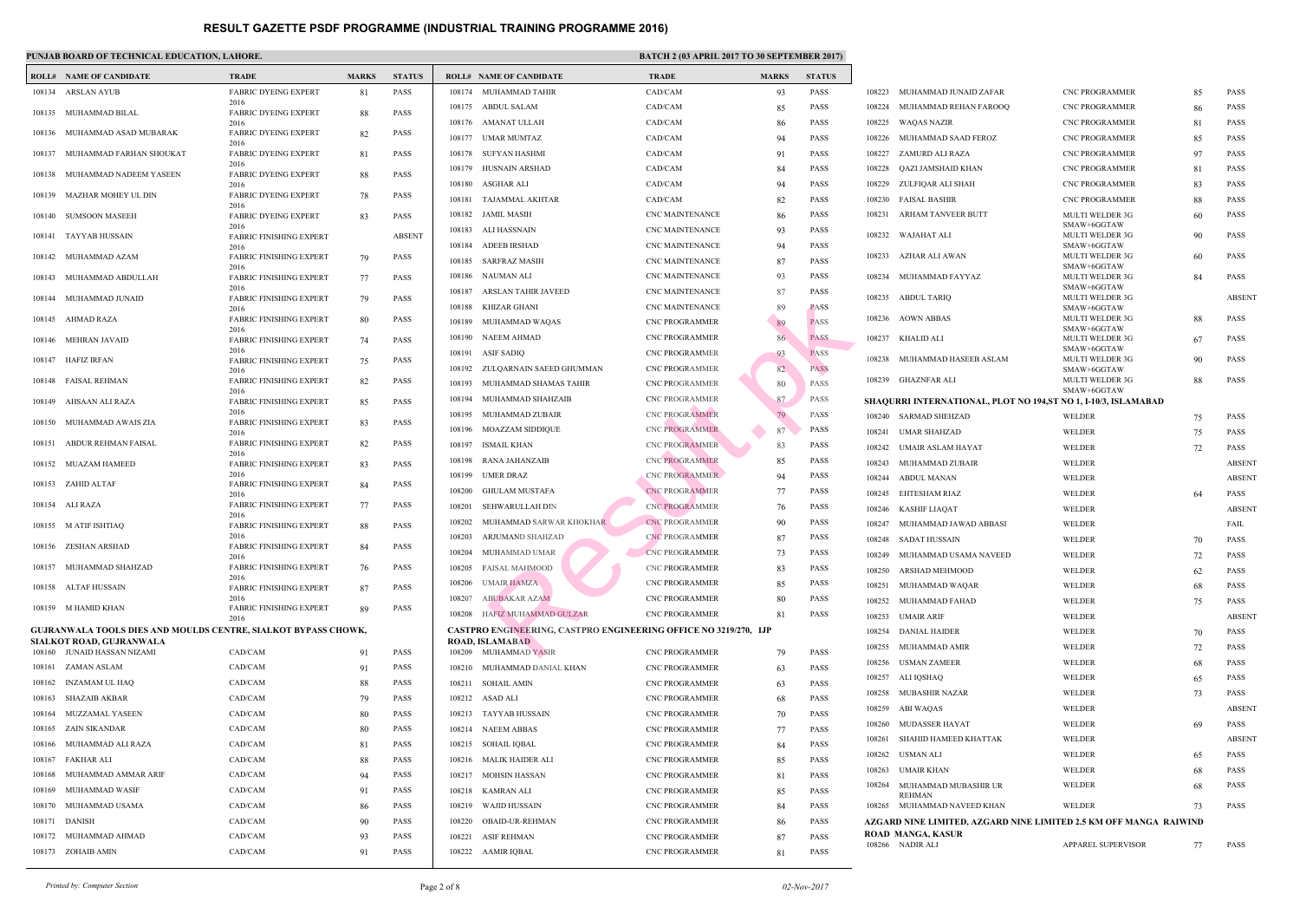|        | <b>ROLL# NAME OF CANDIDATE</b>                                        | <b>TRADE</b>                           | <b>MARKS</b> | <b>STATUS</b> |                  | <b>ROLL# NAME OF CANDIDATE</b>                    | TRAD             |
|--------|-----------------------------------------------------------------------|----------------------------------------|--------------|---------------|------------------|---------------------------------------------------|------------------|
|        | 108134 ARSLAN AYUB                                                    | <b>FABRIC DYEING EXPERT</b>            | 81           | <b>PASS</b>   | 108174           | MUHAMMAD TAHIR                                    | CAD/C            |
|        |                                                                       | 2016                                   |              |               |                  | 108175 ABDUL SALAM                                | CAD/C            |
|        | 108135 MUHAMMAD BILAL                                                 | <b>FABRIC DYEING EXPERT</b><br>2016    | 88           | PASS          |                  | 108176 AMANAT ULLAH                               | CAD/C            |
|        | 108136 MUHAMMAD ASAD MUBARAK                                          | <b>FABRIC DYEING EXPERT</b><br>2016    | 82           | PASS          | 108177           | UMAR MUMTAZ                                       | CAD/C            |
| 108137 | MUHAMMAD FARHAN SHOUKAT                                               | <b>FABRIC DYEING EXPERT</b>            | 81           | PASS          | 108178           | SUFYAN HASHMI                                     | CAD/C            |
| 108138 | MUHAMMAD NADEEM YASEEN                                                | 2016<br><b>FABRIC DYEING EXPERT</b>    | 88           | <b>PASS</b>   | 108179           | HUSNAIN ARSHAD                                    | CAD/C            |
|        |                                                                       | 2016                                   |              |               | 108180           | ASGHAR ALI                                        | CAD/C            |
| 108139 | MAZHAR MOHEY UL DIN                                                   | <b>FABRIC DYEING EXPERT</b><br>2016    | 78           | PASS          | 108181           | TAJAMMAL AKHTAR                                   | CAD/C            |
| 108140 | <b>SUMSOON MASEEH</b>                                                 | <b>FABRIC DYEING EXPERT</b>            | 83           | <b>PASS</b>   |                  | 108182 JAMIL MASIH                                | CNC <sub>N</sub> |
| 108141 | TAYYAB HUSSAIN                                                        | 2016<br><b>FABRIC FINISHING EXPERT</b> |              | <b>ABSENT</b> | 108183           | ALI HASSNAIN                                      | CNC <sub>N</sub> |
| 108142 | MUHAMMAD AZAM                                                         | 2016<br><b>FABRIC FINISHING EXPERT</b> | 79           | <b>PASS</b>   | 108184           | ADEEB IRSHAD                                      | CNC <sub>N</sub> |
|        |                                                                       | 2016                                   |              |               | 108185           | SARFRAZ MASIH                                     | CNC <sub>N</sub> |
| 108143 | MUHAMMAD ABDULLAH                                                     | <b>FABRIC FINISHING EXPERT</b><br>2016 | 77           | <b>PASS</b>   | 108186           | NAUMAN ALI                                        | CNC <sub>N</sub> |
| 108144 | MUHAMMAD JUNAID                                                       | <b>FABRIC FINISHING EXPERT</b>         | 79           | <b>PASS</b>   | 108187           | ARSLAN TAHIR JAVEED                               | CNC <sub>N</sub> |
|        | 108145 AHMAD RAZA                                                     | 2016<br><b>FABRIC FINISHING EXPERT</b> | 80           | <b>PASS</b>   | 108188           | KHIZAR GHANI                                      | CNC <sub>N</sub> |
|        |                                                                       | 2016                                   |              |               | 108189           | MUHAMMAD WAQAS                                    | CNC P            |
|        | 108146 MEHRAN JAVAID                                                  | <b>FABRIC FINISHING EXPERT</b><br>2016 | 74           | PASS          | 108190<br>108191 | NAEEM AHMAD<br><b>ASIF SADIQ</b>                  | CNC P<br>CNC P   |
| 108147 | HAFIZ IRFAN                                                           | <b>FABRIC FINISHING EXPERT</b>         | 75           | <b>PASS</b>   | 108192           | ZULQARNAIN SAEED GHUMMAN                          | CNC P            |
|        | 108148 FAISAL REHMAN                                                  | 2016<br><b>FABRIC FINISHING EXPERT</b> | 82           | PASS          | 108193           | MUHAMMAD SHAMAS TAHIR                             | CNC P            |
|        |                                                                       | 2016                                   |              |               | 108194           | MUHAMMAD SHAHZAIB                                 | CNC P            |
| 108149 | AHSAAN ALI RAZA                                                       | <b>FABRIC FINISHING EXPERT</b><br>2016 | 85           | PASS          | 108195           | MUHAMMAD ZUBAIR                                   | CNC P            |
| 108150 | MUHAMMAD AWAIS ZIA                                                    | <b>FABRIC FINISHING EXPERT</b>         | 83           | PASS          | 108196           | MOAZZAM SIDDIQUE                                  | CNC P            |
| 108151 | ABDUR REHMAN FAISAL                                                   | 2016<br><b>FABRIC FINISHING EXPERT</b> | 82           | PASS          | 108197           | ISMAIL KHAN                                       | CNC P            |
| 108152 | MUAZAM HAMEED                                                         | 2016<br><b>FABRIC FINISHING EXPERT</b> | 83           | <b>PASS</b>   | 108198           | RANA JAHANZAIB                                    | <b>CNCP</b>      |
|        |                                                                       | 2016                                   |              |               | 108199           | <b>UMER DRAZ</b>                                  | CNC P            |
|        | 108153 ZAHID ALTAF                                                    | <b>FABRIC FINISHING EXPERT</b><br>2016 | 84           | <b>PASS</b>   | 108200           | GHULAM MUSTAFA                                    | <b>CNCP</b>      |
|        | 108154 ALI RAZA                                                       | <b>FABRIC FINISHING EXPERT</b>         | 77           | PASS          | 108201           | SEHWARULLAH DIN                                   | CNC <sub>P</sub> |
|        | 108155 M ATIF ISHTIAQ                                                 | 2016<br><b>FABRIC FINISHING EXPERT</b> | 88           | PASS          | 108202           | MUHAMMAD SARWAR KHOKHAR                           | CNC P            |
|        |                                                                       | 2016                                   |              |               | 108203           | ARJUMAND SHAHZAD                                  | <b>CNCP</b>      |
|        | 108156 ZESHAN ARSHAD                                                  | <b>FABRIC FINISHING EXPERT</b><br>2016 | 84           | <b>PASS</b>   |                  | 108204 MUHAMMAD UMAR                              | CNC <sub>P</sub> |
|        | 108157 MUHAMMAD SHAHZAD                                               | <b>FABRIC FINISHING EXPERT</b>         | 76           | PASS          | 108205           | FAISAL MAHMOOD                                    | CNC P            |
|        | 108158 ALTAF HUSSAIN                                                  | 2016<br><b>FABRIC FINISHING EXPERT</b> | 87           | PASS          | 108206           | <b>UMAIR HAMZA</b>                                | CNC P            |
|        | 108159 M HAMID KHAN                                                   | 2016                                   |              | PASS          | 108207           | <b>ABUBAKAR AZAM</b>                              | CNC <sub>P</sub> |
|        |                                                                       | <b>FABRIC FINISHING EXPERT</b><br>2016 | 89           |               | 108208           | HAFIZ MUHAMMAD GULZAR                             | CNC P            |
|        | <b>GUJRANWALA TOOLS DIES AND MOULDS CENTRE, SIALKOT BYPASS CHOWK,</b> |                                        |              |               |                  | <b>CASTPRO ENGINEERING, CASTPRO ENGINEERING (</b> |                  |
|        | SIALKOT ROAD, GUJRANWALA<br>108160 JUNAID HASSAN NIZAMI               | CAD/CAM                                | 91           | PASS          |                  | <b>ROAD, ISLAMABAD</b><br>108209 MUHAMMAD YASIR   | CNC <sub>P</sub> |
| 108161 | ZAMAN ASLAM                                                           | CAD/CAM                                | 91           | PASS          |                  | 108210 MUHAMMAD DANIAL KHAN                       | CNC P            |
| 108162 | INZAMAM UL HAQ                                                        | CAD/CAM                                | 88           | PASS          | 108211           | SOHAIL AMIN                                       | CNC P            |
| 108163 | SHAZAIB AKBAR                                                         | CAD/CAM                                | 79           | PASS          |                  | 108212 ASAD ALI                                   | CNC P            |
| 108164 | MUZZAMAL YASEEN                                                       | CAD/CAM                                | 80           | PASS          |                  | 108213 TAYYAB HUSSAIN                             | CNC P            |
| 108165 | <b>ZAIN SIKANDAR</b>                                                  | CAD/CAM                                | 80           | PASS          | 108214           | NAEEM ABBAS                                       | CNC P            |
| 108166 | MUHAMMAD ALI RAZA                                                     | CAD/CAM                                | 81           | PASS          | 108215           | SOHAIL IQBAL                                      | CNC P            |
| 108167 | FAKHAR ALI                                                            | CAD/CAM                                | 88           | PASS          | 108216           | MALIK HAIDER ALI                                  | CNC <sub>P</sub> |
| 108168 | MUHAMMAD AMMAR ARIF                                                   | CAD/CAM                                | 94           | PASS          | 108217           | MOHSIN HASSAN                                     | CNC P            |
| 108169 | MUHAMMAD WASIF                                                        | CAD/CAM                                | 91           | PASS          | 108218           | KAMRAN ALI                                        | CNC P            |
| 108170 | MUHAMMAD USAMA                                                        | CAD/CAM                                | 86           | PASS          | 108219           | WAJID HUSSAIN                                     | CNC P            |
| 108171 | DANISH                                                                | CAD/CAM                                | 90           | PASS          | 108220           | <b>OBAID-UR-REHMAN</b>                            | CNC P            |
| 108172 | MUHAMMAD AHMAD                                                        | CAD/CAM                                | 93           | PASS          | 108221           | ASIF REHMAN                                       | CNC P            |
|        | 108173 ZOHAIB AMIN                                                    | CAD/CAM                                | 91           | PASS          | 108222           | AAMIR IQBAL                                       | CNC P            |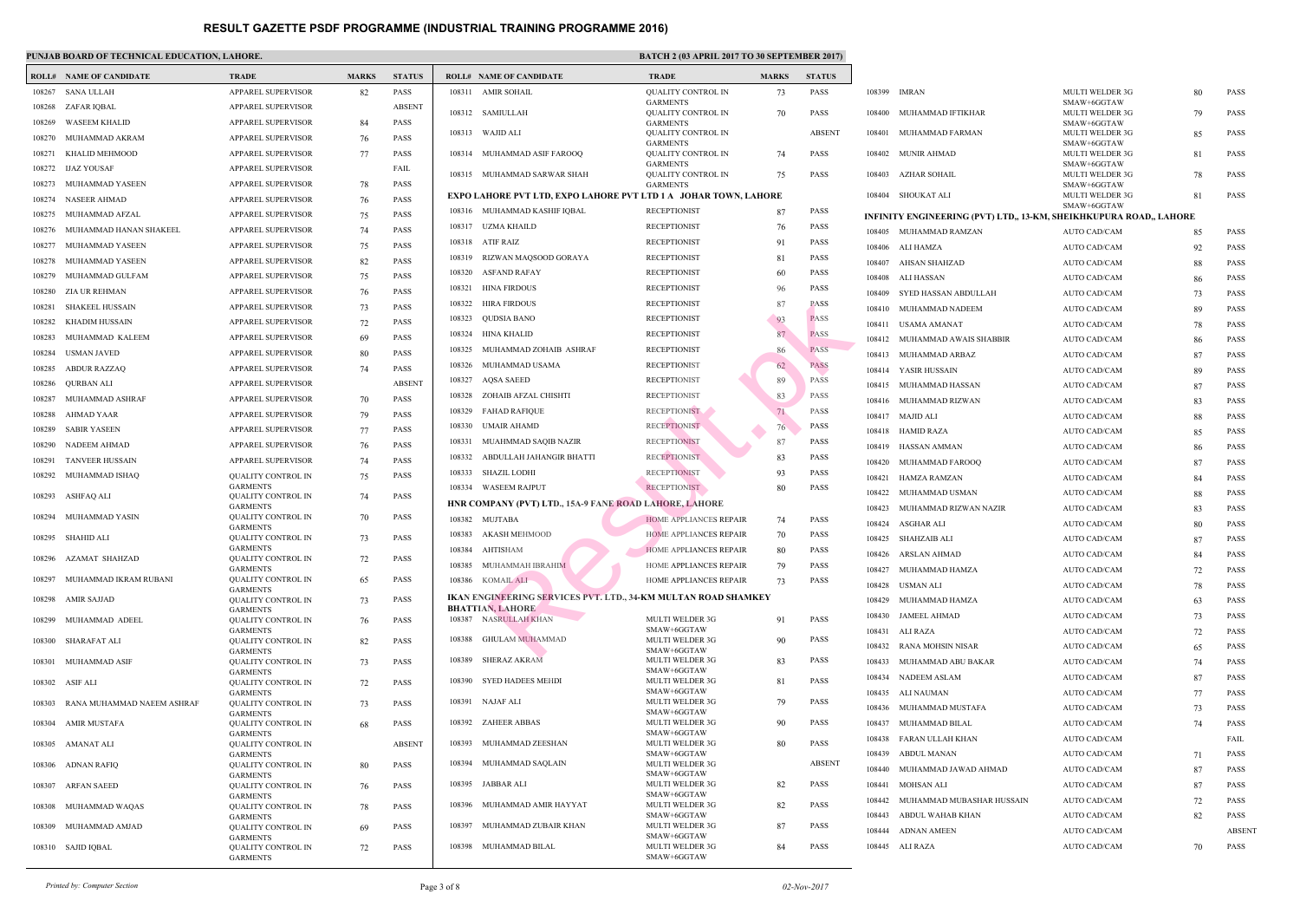$\mathbf{I}$ 

|        | <b>ROLL# NAME OF CANDIDATE</b> | <b>TRADE</b>                                 | <b>MARKS</b> | <b>STATUS</b> |        | <b>ROLL# NAME OF CANDIDATE</b>                       | <b>TRAL</b>                |
|--------|--------------------------------|----------------------------------------------|--------------|---------------|--------|------------------------------------------------------|----------------------------|
| 108267 | <b>SANA ULLAH</b>              | <b>APPAREL SUPERVISOR</b>                    | 82           | PASS          |        | 108311 AMIR SOHAIL                                   | <b>QUAL</b>                |
| 108268 | ZAFAR IQBAL                    | APPAREL SUPERVISOR                           |              | <b>ABSENT</b> |        | 108312 SAMIULLAH                                     | <b>GARM</b><br><b>QUAL</b> |
| 108269 | <b>WASEEM KHALID</b>           | <b>APPAREL SUPERVISOR</b>                    | 84           | PASS          |        |                                                      | <b>GARM</b>                |
| 108270 | MUHAMMAD AKRAM                 | <b>APPAREL SUPERVISOR</b>                    | 76           | PASS          | 108313 | WAJID ALI                                            | <b>QUAL</b><br><b>GARM</b> |
| 108271 | KHALID MEHMOOD                 | APPAREL SUPERVISOR                           | 77           | PASS          | 108314 | MUHAMMAD ASIF FAROOQ                                 | <b>QUAL</b>                |
| 108272 | <b>IJAZ YOUSAF</b>             | APPAREL SUPERVISOR                           |              | FAIL          | 108315 | MUHAMMAD SARWAR SHAH                                 | <b>GARM</b><br><b>QUAL</b> |
| 108273 | MUHAMMAD YASEEN                | APPAREL SUPERVISOR                           | 78           | PASS          |        |                                                      | <b>GARM</b>                |
| 108274 | <b>NASEER AHMAD</b>            | APPAREL SUPERVISOR                           | 76           | PASS          |        | <b>EXPO LAHORE PVT LTD, EXPO LAHORE PVT LTD 1.</b>   |                            |
| 108275 | MUHAMMAD AFZAL                 | APPAREL SUPERVISOR                           | 75           | PASS          | 108316 | MUHAMMAD KASHIF IQBAL                                | <b>RECEF</b>               |
| 108276 | MUHAMMAD HANAN SHAKEEL         | APPAREL SUPERVISOR                           | 74           | PASS          | 108317 | UZMA KHAILD                                          | <b>RECEF</b>               |
| 108277 | MUHAMMAD YASEEN                | APPAREL SUPERVISOR                           | 75           | PASS          | 108318 | <b>ATIF RAIZ</b>                                     | <b>RECEF</b>               |
| 108278 | MUHAMMAD YASEEN                | APPAREL SUPERVISOR                           | 82           | PASS          | 108319 | RIZWAN MAQSOOD GORAYA                                | <b>RECEF</b>               |
| 108279 | MUHAMMAD GULFAM                | APPAREL SUPERVISOR                           | 75           | PASS          | 108320 | ASFAND RAFAY                                         | <b>RECEF</b>               |
| 108280 | ZIA UR REHMAN                  | APPAREL SUPERVISOR                           | 76           | PASS          | 108321 | <b>HINA FIRDOUS</b>                                  | <b>RECEF</b>               |
| 108281 | SHAKEEL HUSSAIN                | <b>APPAREL SUPERVISOR</b>                    | 73           | PASS          | 108322 | HIRA FIRDOUS                                         | <b>RECEF</b>               |
| 108282 | KHADIM HUSSAIN                 | APPAREL SUPERVISOR                           | 72           | PASS          | 108323 | QUDSIA BANO                                          | <b>RECEF</b>               |
| 108283 | MUHAMMAD KALEEM                | APPAREL SUPERVISOR                           | 69           | PASS          | 108324 | HINA KHALID                                          | <b>RECEF</b>               |
| 108284 | USMAN JAVED                    | APPAREL SUPERVISOR                           | 80           | PASS          | 108325 | MUHAMMAD ZOHAIB ASHRAF                               | <b>RECEF</b>               |
| 108285 | <b>ABDUR RAZZAQ</b>            | APPAREL SUPERVISOR                           | 74           | PASS          | 108326 | MUHAMMAD USAMA                                       | <b>RECEF</b>               |
| 108286 | <b>QURBAN ALI</b>              | APPAREL SUPERVISOR                           |              | <b>ABSENT</b> | 108327 | <b>AQSA SAEED</b>                                    | <b>RECEF</b>               |
| 108287 | MUHAMMAD ASHRAF                | APPAREL SUPERVISOR                           | 70           | PASS          | 108328 | ZOHAIB AFZAL CHISHTI                                 | <b>RECEF</b>               |
| 108288 | AHMAD YAAR                     | APPAREL SUPERVISOR                           | 79           | PASS          | 108329 | <b>FAHAD RAFIQUE</b>                                 | <b>RECEF</b>               |
| 108289 | <b>SABIR YASEEN</b>            | APPAREL SUPERVISOR                           | 77           | PASS          | 108330 | UMAIR AHAMD                                          | <b>RECEF</b>               |
| 108290 | NADEEM AHMAD                   | APPAREL SUPERVISOR                           | 76           | PASS          | 108331 | MUAHMMAD SAQIB NAZIR                                 | <b>RECEF</b>               |
| 108291 | <b>TANVEER HUSSAIN</b>         | APPAREL SUPERVISOR                           | 74           | PASS          | 108332 | ABDULLAH JAHANGIR BHATTI                             | <b>RECEF</b>               |
| 108292 | MUHAMMAD ISHAQ                 | QUALITY CONTROL IN                           | 75           | PASS          | 108333 | SHAZIL LODHI                                         | <b>RECEF</b>               |
| 108293 | <b>ASHFAQ ALI</b>              | <b>GARMENTS</b><br><b>QUALITY CONTROL IN</b> |              | PASS          | 108334 | WASEEM RAJPUT                                        | <b>RECEF</b>               |
|        |                                | <b>GARMENTS</b>                              | 74           |               |        | HNR COMPANY (PVT) LTD., 15A-9 FANE ROAD LAHO         |                            |
| 108294 | MUHAMMAD YASIN                 | <b>QUALITY CONTROL IN</b><br><b>GARMENTS</b> | 70           | PASS          | 108382 | MUJTABA                                              | <b>HOME</b>                |
| 108295 | SHAHID ALI                     | QUALITY CONTROL IN                           | 73           | PASS          | 108383 | <b>AKASH MEHMOOD</b>                                 | <b>HOME</b>                |
|        | 108296 AZAMAT SHAHZAD          | <b>GARMENTS</b><br>QUALITY CONTROL IN        | 72           | PASS          | 108384 | AHTISHAM                                             | <b>HOME</b>                |
|        |                                | <b>GARMENTS</b>                              |              |               | 108385 | MUHAMMAH IBRAHIM                                     | <b>HOME</b>                |
| 108297 | MUHAMMAD IKRAM RUBANI          | <b>QUALITY CONTROL IN</b><br><b>GARMENTS</b> | 65           | PASS          | 108386 | KOMAIL ALI                                           | <b>HOME</b>                |
| 108298 | <b>AMIR SAJJAD</b>             | <b>QUALITY CONTROL IN</b>                    | 73           | PASS          |        | <b>IKAN ENGINEERING SERVICES PVT. LTD., 34-KM MU</b> |                            |
| 108299 | MUHAMMAD ADEEL                 | <b>GARMENTS</b><br>QUALITY CONTROL IN        | 76           | PASS          | 108387 | <b>BHATTIAN, LAHORE</b><br>NASRULLAH KHAN            | <b>MULT</b>                |
|        |                                | <b>GARMENTS</b>                              |              |               |        |                                                      | <b>SMAW</b>                |
| 108300 | SHARAFAT ALI                   | <b>OUALITY CONTROL IN</b><br><b>GARMENTS</b> | 82           | PASS          | 108388 | <b>GHULAM MUHAMMAD</b>                               | <b>MULT</b><br><b>SMAW</b> |
| 108301 | MUHAMMAD ASIF                  | QUALITY CONTROL IN                           | 73           | PASS          | 108389 | <b>SHERAZ AKRAM</b>                                  | <b>MULT</b><br><b>SMAW</b> |
|        | 108302 ASIF ALI                | <b>GARMENTS</b><br>QUALITY CONTROL IN        | 72           | PASS          | 108390 | <b>SYED HADEES MEHDI</b>                             | <b>MULT</b>                |
| 108303 | RANA MUHAMMAD NAEEM ASHRAF     | <b>GARMENTS</b><br><b>QUALITY CONTROL IN</b> |              | PASS          | 108391 | NAJAF ALI                                            | <b>SMAW</b><br><b>MULT</b> |
|        |                                | <b>GARMENTS</b>                              | 73           |               |        |                                                      | <b>SMAW</b>                |
| 108304 | AMIR MUSTAFA                   | QUALITY CONTROL IN<br><b>GARMENTS</b>        | 68           | PASS          | 108392 | <b>ZAHEER ABBAS</b>                                  | <b>MULT</b><br><b>SMAW</b> |
| 108305 | AMANAT ALI                     | QUALITY CONTROL IN                           |              | <b>ABSENT</b> | 108393 | MUHAMMAD ZEESHAN                                     | <b>MULT</b>                |
| 108306 | ADNAN RAFIQ                    | <b>GARMENTS</b><br><b>QUALITY CONTROL IN</b> | 80           | PASS          | 108394 | MUHAMMAD SAQLAIN                                     | <b>SMAW</b><br><b>MULT</b> |
|        |                                | <b>GARMENTS</b>                              |              |               |        |                                                      | <b>SMAW</b>                |
| 108307 | <b>ARFAN SAEED</b>             | <b>QUALITY CONTROL IN</b><br><b>GARMENTS</b> | 76           | PASS          | 108395 | JABBAR ALI                                           | <b>MULT</b><br><b>SMAW</b> |
| 108308 | MUHAMMAD WAQAS                 | QUALITY CONTROL IN                           | 78           | PASS          | 108396 | MUHAMMAD AMIR HAYYAT                                 | <b>MULT</b>                |
| 108309 | MUHAMMAD AMJAD                 | <b>GARMENTS</b><br>QUALITY CONTROL IN        | 69           | PASS          | 108397 | MUHAMMAD ZUBAIR KHAN                                 | <b>SMAW</b><br><b>MULT</b> |
|        |                                | <b>GARMENTS</b>                              |              |               |        |                                                      | <b>SMAW</b><br><b>MULT</b> |
|        | 108310 SAJID IQBAL             | <b>QUALITY CONTROL IN</b><br><b>GARMENTS</b> | 72           | PASS          |        | 108398 MUHAMMAD BILAL                                | <b>SMAW</b>                |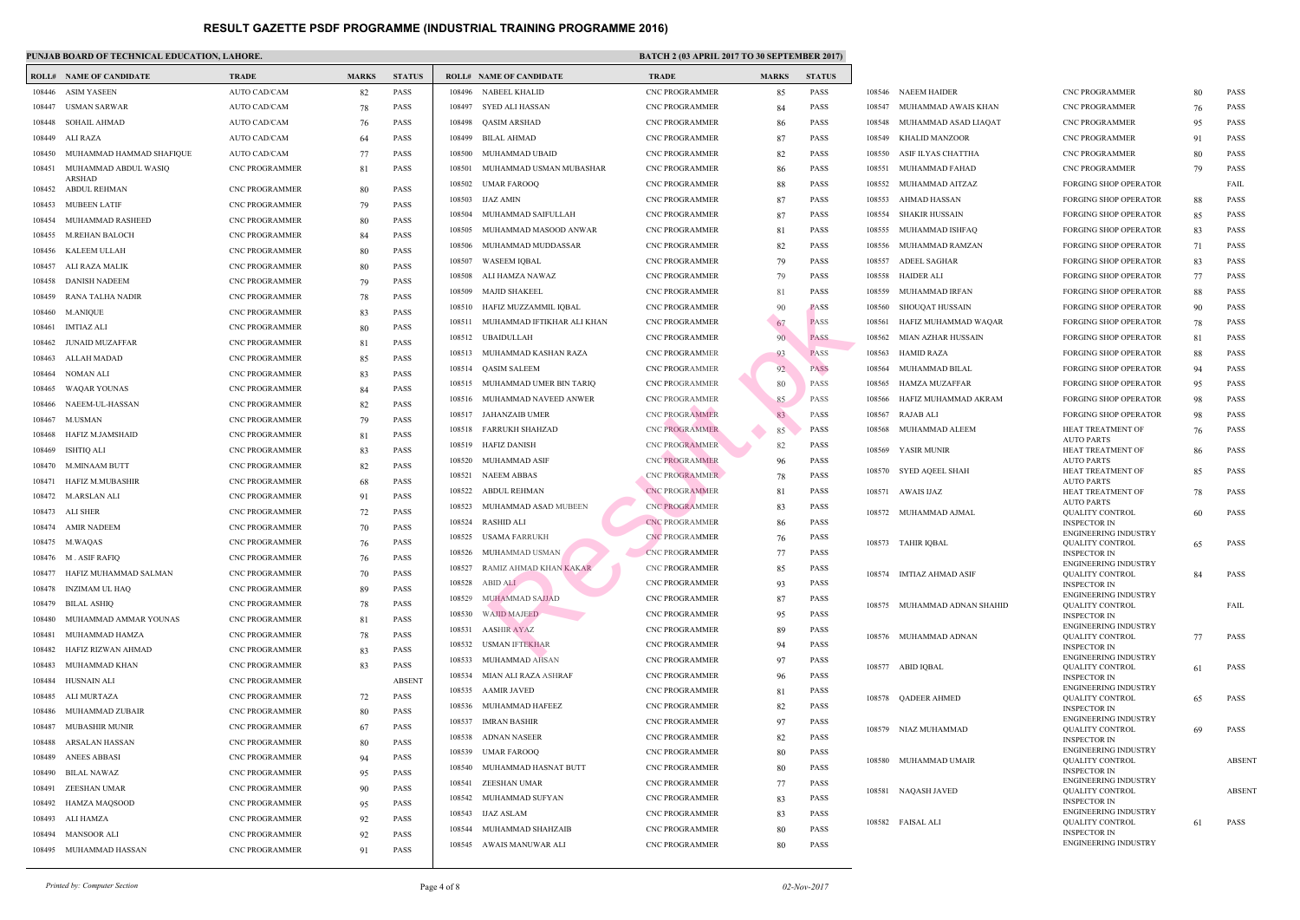|        | <b>ROLL# NAME OF CANDIDATE</b>       | <b>TRADE</b>          | <b>MARKS</b> | <b>STATUS</b> |        | <b>ROLL# NAME OF CANDIDATE</b> | <b>TRAL</b>      |
|--------|--------------------------------------|-----------------------|--------------|---------------|--------|--------------------------------|------------------|
| 108446 | ASIM YASEEN                          | <b>AUTO CAD/CAM</b>   | 82           | PASS          | 108496 | NABEEL KHALID                  | CNC <sub>P</sub> |
| 108447 | USMAN SARWAR                         | <b>AUTO CAD/CAM</b>   | 78           | <b>PASS</b>   | 108497 | SYED ALI HASSAN                | CNC P            |
| 108448 | <b>SOHAIL AHMAD</b>                  | <b>AUTO CAD/CAM</b>   | 76           | <b>PASS</b>   | 108498 | <b>OASIM ARSHAD</b>            | CNC <sub>P</sub> |
| 108449 | ALI RAZA                             | <b>AUTO CAD/CAM</b>   | 64           | <b>PASS</b>   | 108499 | BILAL AHMAD                    | CNC P            |
| 108450 | MUHAMMAD HAMMAD SHAFIQUE             | AUTO CAD/CAM          | 77           | <b>PASS</b>   | 108500 | MUHAMMAD UBAID                 | CNC <sub>P</sub> |
| 108451 | MUHAMMAD ABDUL WASIQ                 | <b>CNC PROGRAMMER</b> | 81           | <b>PASS</b>   | 108501 | MUHAMMAD USMAN MUBASHAR        | CNC P            |
| 108452 | <b>ARSHAD</b><br><b>ABDUL REHMAN</b> | <b>CNC PROGRAMMER</b> | 80           | <b>PASS</b>   | 108502 | UMAR FAROOQ                    | CNC P            |
| 108453 | <b>MUBEEN LATIF</b>                  | <b>CNC PROGRAMMER</b> | 79           | <b>PASS</b>   | 108503 | <b>IJAZ AMIN</b>               | CNC P            |
| 108454 | MUHAMMAD RASHEED                     | <b>CNC PROGRAMMER</b> | 80           | <b>PASS</b>   | 108504 | MUHAMMAD SAIFULLAH             | CNC <sub>P</sub> |
| 108455 | M.REHAN BALOCH                       | <b>CNC PROGRAMMER</b> | 84           | <b>PASS</b>   | 108505 | MUHAMMAD MASOOD ANWAR          | CNC P            |
| 108456 | KALEEM ULLAH                         | <b>CNC PROGRAMMER</b> | 80           | <b>PASS</b>   | 108506 | MUHAMMAD MUDDASSAR             | CNC P            |
| 108457 | ALI RAZA MALIK                       | <b>CNC PROGRAMMER</b> | 80           | <b>PASS</b>   | 108507 | WASEEM IQBAL                   | CNC P            |
| 108458 | DANISH NADEEM                        | <b>CNC PROGRAMMER</b> | 79           | <b>PASS</b>   | 108508 | ALI HAMZA NAWAZ                | CNC P            |
| 108459 | RANA TALHA NADIR                     | <b>CNC PROGRAMMER</b> | 78           | <b>PASS</b>   | 108509 | <b>MAJID SHAKEEL</b>           | CNC P            |
| 108460 | M.ANIQUE                             | <b>CNC PROGRAMMER</b> | 83           | <b>PASS</b>   | 108510 | HAFIZ MUZZAMMIL IQBAL          | CNC <sub>P</sub> |
| 108461 | <b>IMTIAZ ALI</b>                    | <b>CNC PROGRAMMER</b> | 80           | <b>PASS</b>   | 108511 | MUHAMMAD IFTIKHAR ALI KHAN     | CNC P            |
| 108462 | <b>JUNAID MUZAFFAR</b>               | <b>CNC PROGRAMMER</b> | 81           | PASS          | 108512 | UBAIDULLAH                     | CNC P            |
| 108463 | ALLAH MADAD                          | <b>CNC PROGRAMMER</b> | 85           | <b>PASS</b>   | 108513 | MUHAMMAD KASHAN RAZA           | CNC P            |
| 108464 | NOMAN ALI                            | <b>CNC PROGRAMMER</b> | 83           | <b>PASS</b>   | 108514 | QASIM SALEEM                   | CNC P            |
| 108465 | <b>WAQAR YOUNAS</b>                  | <b>CNC PROGRAMMER</b> | 84           | <b>PASS</b>   | 108515 | MUHAMMAD UMER BIN TARIQ        | CNC P            |
| 108466 | NAEEM-UL-HASSAN                      | <b>CNC PROGRAMMER</b> | 82           | <b>PASS</b>   | 108516 | MUHAMMAD NAVEED ANWER          | CNC P            |
| 108467 | M.USMAN                              | <b>CNC PROGRAMMER</b> | 79           | <b>PASS</b>   |        | 108517 JAHANZAIB UMER          | CNC P            |
| 108468 | HAFIZ M.JAMSHAID                     | <b>CNC PROGRAMMER</b> | 81           | <b>PASS</b>   | 108518 | FARRUKH SHAHZAD                | CNC P            |
| 108469 | ISHTIQ ALI                           | <b>CNC PROGRAMMER</b> | 83           | <b>PASS</b>   | 108519 | <b>HAFIZ DANISH</b>            | CNC P            |
| 108470 | <b>M.MINAAM BUTT</b>                 | <b>CNC PROGRAMMER</b> | 82           | <b>PASS</b>   | 108520 | MUHAMMAD ASIF                  | <b>CNCP</b>      |
| 108471 | HAFIZ M.MUBASHIR                     | <b>CNC PROGRAMMER</b> | 68           | <b>PASS</b>   | 108521 | <b>NAEEM ABBAS</b>             | CNC P            |
| 108472 | M.ARSLAN ALI                         | <b>CNC PROGRAMMER</b> | 91           | <b>PASS</b>   | 108522 | ABDUL REHMAN                   | CNC <sub>P</sub> |
| 108473 | ALI SHER                             | <b>CNC PROGRAMMER</b> | 72           | <b>PASS</b>   | 108523 | MUHAMMAD ASAD MUBEEN           | CNC <sub>P</sub> |
| 108474 | <b>AMIR NADEEM</b>                   | <b>CNC PROGRAMMER</b> | 70           | <b>PASS</b>   | 108524 | RASHID ALI                     | CNC <sub>P</sub> |
|        | 108475 M.WAQAS                       | <b>CNC PROGRAMMER</b> | 76           | <b>PASS</b>   | 108525 | USAMA FARRUKH                  | <b>CNCP</b>      |
|        | 108476 M. ASIF RAFIQ                 | CNC PROGRAMMER        | 76           | PASS          |        | 108526 MUHAMMAD USMAN          | CNC <sub>P</sub> |
| 108477 | HAFIZ MUHAMMAD SALMAN                | <b>CNC PROGRAMMER</b> | 70           | PASS          | 108527 | RAMIZ AHMAD KHAN KAKAR         | CNC P            |
| 108478 | INZIMAM UL HAQ                       | <b>CNC PROGRAMMER</b> | 89           | PASS          | 108528 | <b>ABID ALI</b>                | CNC P            |
| 108479 | <b>BILAL ASHIQ</b>                   | <b>CNC PROGRAMMER</b> | 78           | PASS          | 108529 | MUHAMMAD SAJJAD                | CNC <sub>P</sub> |
| 108480 | MUHAMMAD AMMAR YOUNAS                | <b>CNC PROGRAMMER</b> | 81           | PASS          | 108530 | <b>WAJID MAJEED</b>            | CNC <sub>P</sub> |
| 108481 | MUHAMMAD HAMZA                       | <b>CNC PROGRAMMER</b> | 78           | PASS          | 108531 | <b>AASHIR AYAZ</b>             | CNC P            |
| 108482 | HAFIZ RIZWAN AHMAD                   | <b>CNC PROGRAMMER</b> | 83           | PASS          | 108532 | <b>USMAN IFTEKHAR</b>          | CNC P            |
| 108483 | MUHAMMAD KHAN                        | <b>CNC PROGRAMMER</b> | 83           | PASS          | 108533 | MUHAMMAD AHSAN                 | CNC <sub>P</sub> |
| 108484 | HUSNAIN ALI                          | <b>CNC PROGRAMMER</b> |              | <b>ABSENT</b> | 108534 | MIAN ALI RAZA ASHRAF           | CNC P            |
| 108485 | <b>ALI MURTAZA</b>                   | <b>CNC PROGRAMMER</b> | 72           | PASS          | 108535 | <b>AAMIR JAVED</b>             | CNC P            |
| 108486 | MUHAMMAD ZUBAIR                      | <b>CNC PROGRAMMER</b> | 80           | <b>PASS</b>   | 108536 | MUHAMMAD HAFEEZ                | CNC <sub>P</sub> |
| 108487 | MUBASHIR MUNIR                       | <b>CNC PROGRAMMER</b> | 67           | PASS          | 108537 | <b>IMRAN BASHIR</b>            | CNC P            |
| 108488 | ARSALAN HASSAN                       | <b>CNC PROGRAMMER</b> | 80           | PASS          | 108538 | ADNAN NASEER                   | CNC P            |
| 108489 | <b>ANEES ABBASI</b>                  | <b>CNC PROGRAMMER</b> | 94           | PASS          | 108539 | UMAR FAROOQ                    | CNC <sub>P</sub> |
| 108490 | <b>BILAL NAWAZ</b>                   | <b>CNC PROGRAMMER</b> | 95           | <b>PASS</b>   | 108540 | MUHAMMAD HASNAT BUTT           | CNC P            |
| 108491 | ZEESHAN UMAR                         | <b>CNC PROGRAMMER</b> | 90           | PASS          | 108541 | ZEESHAN UMAR                   | CNC P            |
| 108492 | <b>HAMZA MAQSOOD</b>                 | <b>CNC PROGRAMMER</b> | 95           | PASS          | 108542 | MUHAMMAD SUFYAN                | CNC <sub>P</sub> |
| 108493 | ALI HAMZA                            | <b>CNC PROGRAMMER</b> | 92           | PASS          | 108543 | <b>IJAZ ASLAM</b>              | CNC P            |
| 108494 | <b>MANSOOR ALI</b>                   | <b>CNC PROGRAMMER</b> | 92           | PASS          | 108544 | MUHAMMAD SHAHZAIB              | CNC P            |
| 108495 | MUHAMMAD HASSAN                      | <b>CNC PROGRAMMER</b> | 91           | <b>PASS</b>   | 108545 | AWAIS MANUWAR ALI              | CNC P            |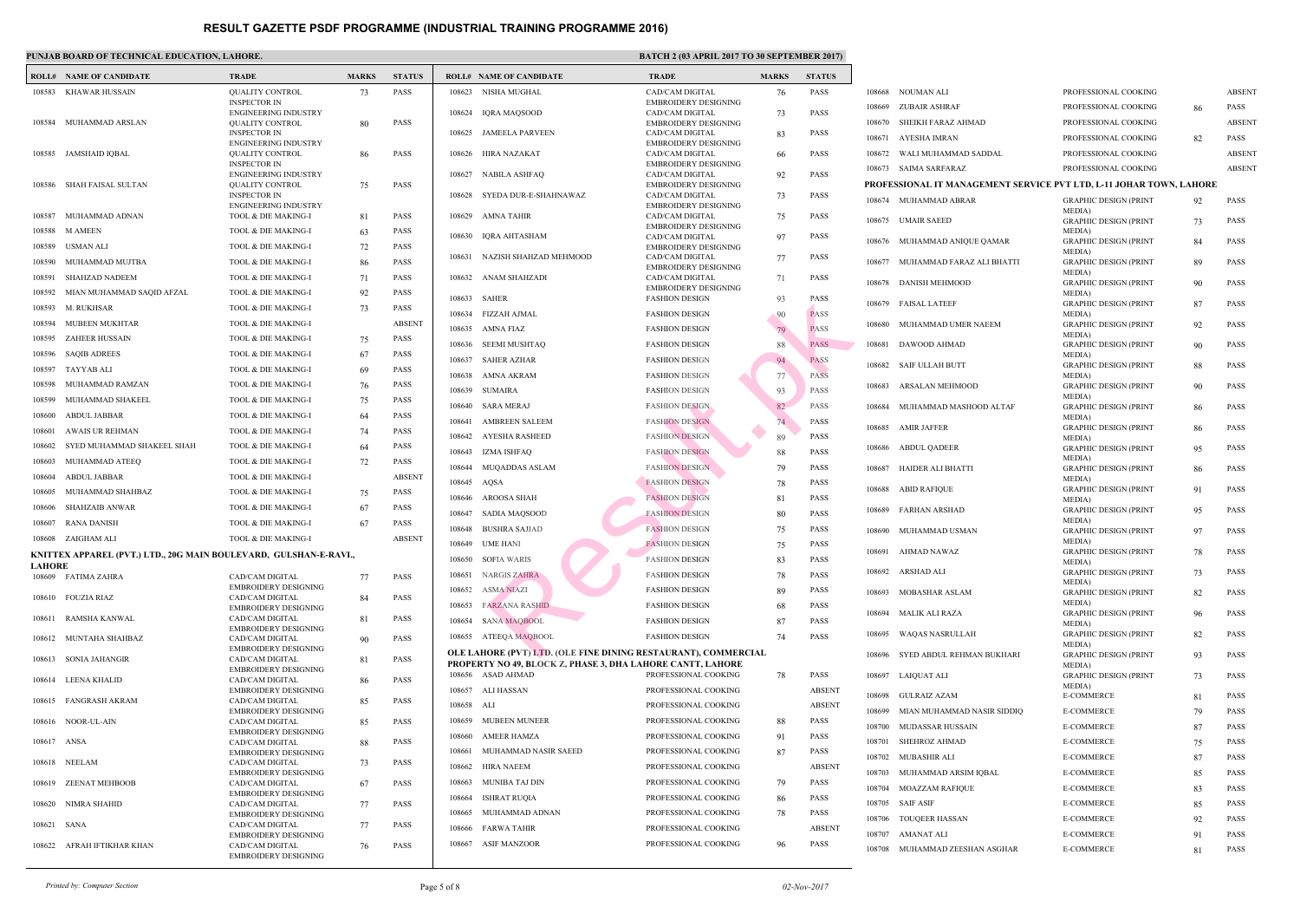|               | <b>ROLL# NAME OF CANDIDATE</b>                                     | <b>TRADE</b>                                                                  | <b>MARKS</b> | <b>STATUS</b> |        | <b>ROLL# NAME OF CANDIDATE</b>                                                                | TRAD                         |
|---------------|--------------------------------------------------------------------|-------------------------------------------------------------------------------|--------------|---------------|--------|-----------------------------------------------------------------------------------------------|------------------------------|
| 108583        | KHAWAR HUSSAIN                                                     | <b>QUALITY CONTROL</b>                                                        |              | <b>PASS</b>   | 108623 | NISHA MUGHAL                                                                                  | CAD/C                        |
|               |                                                                    | <b>INSPECTOR IN</b>                                                           | 73           |               |        |                                                                                               | <b>EMBR</b>                  |
|               | 108584 MUHAMMAD ARSLAN                                             | <b>ENGINEERING INDUSTRY</b><br><b>QUALITY CONTROL</b>                         | 80           | PASS          | 108624 | IQRA MAQSOOD                                                                                  | CAD/C<br><b>EMBR</b>         |
|               |                                                                    | <b>INSPECTOR IN</b><br><b>ENGINEERING INDUSTRY</b>                            |              |               | 108625 | JAMEELA PARVEEN                                                                               | CAD/C<br><b>EMBR</b>         |
|               | 108585 JAMSHAID IQBAL                                              | <b>QUALITY CONTROL</b>                                                        | 86           | PASS          | 108626 | HIRA NAZAKAT                                                                                  | CAD/C                        |
|               |                                                                    | <b>INSPECTOR IN</b><br><b>ENGINEERING INDUSTRY</b>                            |              |               | 108627 | NABILA ASHFAQ                                                                                 | <b>EMBR</b><br>CAD/C         |
| 108586        | SHAH FAISAL SULTAN                                                 | <b>QUALITY CONTROL</b><br><b>INSPECTOR IN</b>                                 | 75           | PASS          | 108628 | SYEDA DUR-E-SHAHNAWAZ                                                                         | <b>EMBR</b><br>CAD/C         |
| 108587        | MUHAMMAD ADNAN                                                     | <b>ENGINEERING INDUSTRY</b><br>TOOL & DIE MAKING-I                            | 81           | PASS          | 108629 | AMNA TAHIR                                                                                    | <b>EMBR</b><br>CAD/C         |
| 108588        | M AMEEN                                                            | TOOL & DIE MAKING-I                                                           | 63           | PASS          |        |                                                                                               | <b>EMBR</b>                  |
| 108589        | USMAN ALI                                                          | TOOL & DIE MAKING-I                                                           | 72           | <b>PASS</b>   | 108630 | IQRA AHTASHAM                                                                                 | CAD/C<br><b>EMBR</b>         |
| 108590        | MUHAMMAD MUJTBA                                                    | TOOL & DIE MAKING-I                                                           | 86           | PASS          | 108631 | NAZISH SHAHZAD MEHMOOD                                                                        | CAD/C                        |
| 108591        | <b>SHAHZAD NADEEM</b>                                              | TOOL & DIE MAKING-I                                                           | 71           | <b>PASS</b>   | 108632 | ANAM SHAHZADI                                                                                 | <b>EMBR</b><br>CAD/C         |
| 108592        | MIAN MUHAMMAD SAQID AFZAL                                          | TOOL & DIE MAKING-I                                                           | 92           | <b>PASS</b>   |        |                                                                                               | <b>EMBR</b>                  |
| 108593        | M. RUKHSAR                                                         | TOOL & DIE MAKING-I                                                           | 73           | PASS          | 108633 | SAHER                                                                                         | <b>FASHI</b>                 |
| 108594        | MUBEEN MUKHTAR                                                     | TOOL & DIE MAKING-I                                                           |              | <b>ABSENT</b> | 108634 | FIZZAH AJMAL                                                                                  | <b>FASHI</b>                 |
| 108595        | <b>ZAHEER HUSSAIN</b>                                              | TOOL & DIE MAKING-I                                                           | 75           | <b>PASS</b>   | 108635 | AMNA FIAZ                                                                                     | FASHI                        |
| 108596        | <b>SAQIB ADREES</b>                                                | TOOL & DIE MAKING-I                                                           |              | PASS          | 108636 | SEEMI MUSHTAQ                                                                                 | <b>FASHI</b>                 |
| 108597        | TAYYAB ALI                                                         | TOOL & DIE MAKING-I                                                           | 67           | <b>PASS</b>   | 108637 | SAHER AZHAR                                                                                   | <b>FASHI</b>                 |
|               |                                                                    |                                                                               | 69           |               | 108638 | AMNA AKRAM                                                                                    | FASHI                        |
| 108598        | MUHAMMAD RAMZAN                                                    | TOOL & DIE MAKING-I                                                           | 76           | PASS          | 108639 | SUMAIRA                                                                                       | FASHI                        |
| 108599        | MUHAMMAD SHAKEEL                                                   | TOOL & DIE MAKING-I                                                           | 75           | PASS          | 108640 | SARA MERAJ                                                                                    | FASHI                        |
| 108600        | ABDUL JABBAR                                                       | TOOL & DIE MAKING-I                                                           | 64           | PASS          | 108641 | AMBREEN SALEEM                                                                                | FASHI                        |
| 108601        | AWAIS UR REHMAN                                                    | TOOL & DIE MAKING-I                                                           | 74           | PASS          | 108642 | AYESHA RASHEED                                                                                | <b>FASHI</b>                 |
| 108602        | SYED MUHAMMAD SHAKEEL SHAH                                         | TOOL & DIE MAKING-I                                                           | 64           | <b>PASS</b>   | 108643 | IZMA ISHFAQ                                                                                   | FASHI                        |
| 108603        | MUHAMMAD ATEEQ                                                     | TOOL & DIE MAKING-I                                                           | 72           | PASS          | 108644 | MUQADDAS ASLAM                                                                                | <b>FASHI</b>                 |
| 108604        | ABDUL JABBAR                                                       | TOOL & DIE MAKING-I                                                           |              | <b>ABSENT</b> | 108645 | AQSA                                                                                          | FASHI                        |
| 108605        | MUHAMMAD SHAHBAZ                                                   | TOOL & DIE MAKING-I                                                           | 75           | <b>PASS</b>   | 108646 | AROOSA SHAH                                                                                   | <b>FASHI</b>                 |
| 108606        | SHAHZAIB ANWAR                                                     | TOOL & DIE MAKING-I                                                           | 67           | PASS          | 108647 | SADIA MAQSOOD                                                                                 | <b>FASHI</b>                 |
| 108607        | RANA DANISH                                                        | TOOL & DIE MAKING-I                                                           | 67           | PASS          | 108648 | <b>BUSHRA SAJJAD</b>                                                                          | <b>FASHI</b>                 |
|               | 108608 ZAIGHAM ALI                                                 | TOOL & DIE MAKING-I                                                           |              | <b>ABSENT</b> |        | 108649 UME HANI                                                                               | FASHI                        |
|               | KNITTEX APPAREL (PVT.) LTD., 20G MAIN BOULEVARD,  GULSHAN-E-RAVI., |                                                                               |              |               | 108650 | <b>SOFIA WARIS</b>                                                                            | FASHI                        |
| <b>LAHORE</b> | 108609 FATIMA ZAHRA                                                | CAD/CAM DIGITAL                                                               | 77           | PASS          | 108651 | <b>NARGIS ZAHRA</b>                                                                           | FASHI                        |
|               |                                                                    | <b>EMBROIDERY DESIGNING</b>                                                   |              |               | 108652 | <b>ASMA NIAZI</b>                                                                             | <b>FASHI</b>                 |
|               | 108610 FOUZIA RIAZ                                                 | <b>CAD/CAM DIGITAL</b><br><b>EMBROIDERY DESIGNING</b>                         | 84           | <b>PASS</b>   | 108653 | <b>FARZANA RASHID</b>                                                                         | <b>FASHI</b>                 |
| 108611        | RAMSHA KANWAL                                                      | CAD/CAM DIGITAL                                                               | 81           | PASS          | 108654 | <b>SANA MAQBOOL</b>                                                                           | FASHI                        |
|               | 108612 MUNTAHA SHAHBAZ                                             | <b>EMBROIDERY DESIGNING</b><br><b>CAD/CAM DIGITAL</b>                         | 90           | PASS          | 108655 | ATEEQA MAQBOOL                                                                                | FASHI                        |
| 108613        | <b>SONIA JAHANGIR</b>                                              | <b>EMBROIDERY DESIGNING</b><br>CAD/CAM DIGITAL                                | 81           | PASS          |        | OLE LAHORE (PVT) LTD. (OLE FINE DINING RESTAL<br>PROPERTY NO 49, BLOCK Z, PHASE 3, DHA LAHORE |                              |
|               | 108614 LEENA KHALID                                                | <b>EMBROIDERY DESIGNING</b><br>CAD/CAM DIGITAL<br><b>EMBROIDERY DESIGNING</b> | 86           | PASS          | 108657 | 108656 ASAD AHMAD<br>ALI HASSAN                                                               | <b>PROFE</b><br><b>PROFE</b> |
|               | 108615 FANGRASH AKRAM                                              | CAD/CAM DIGITAL<br><b>EMBROIDERY DESIGNING</b>                                | 85           | PASS          | 108658 | ALI                                                                                           | <b>PROFE</b>                 |
|               | 108616 NOOR-UL-AIN                                                 | CAD/CAM DIGITAL                                                               | 85           | PASS          | 108659 | <b>MUBEEN MUNEER</b>                                                                          | <b>PROFE</b>                 |
|               |                                                                    | <b>EMBROIDERY DESIGNING</b>                                                   |              |               | 108660 | <b>AMEER HAMZA</b>                                                                            | <b>PROFE</b>                 |
| 108617 ANSA   |                                                                    | CAD/CAM DIGITAL<br><b>EMBROIDERY DESIGNING</b>                                | 88           | PASS          | 108661 | MUHAMMAD NASIR SAEED                                                                          | <b>PROFE</b>                 |
| 108618        | NEELAM                                                             | CAD/CAM DIGITAL                                                               | 73           | PASS          | 108662 | HIRA NAEEM                                                                                    | <b>PROFE</b>                 |
| 108619        | <b>ZEENAT MEHBOOB</b>                                              | <b>EMBROIDERY DESIGNING</b><br>CAD/CAM DIGITAL                                | 67           | PASS          | 108663 | MUNIBA TAJ DIN                                                                                | <b>PROFE</b>                 |
| 108620        | NIMRA SHAHID                                                       | <b>EMBROIDERY DESIGNING</b><br>CAD/CAM DIGITAL                                | 77           | PASS          | 108664 | <b>ISHRAT RUQIA</b>                                                                           | <b>PROFE</b>                 |
|               |                                                                    | <b>EMBROIDERY DESIGNING</b>                                                   |              |               | 108665 | MUHAMMAD ADNAN                                                                                | <b>PROFE</b>                 |
| 108621        | SANA                                                               | CAD/CAM DIGITAL                                                               | 77           | PASS          | 108666 | FARWA TAHIR                                                                                   | <b>PROFE</b>                 |
|               | 108622 AFRAH IFTIKHAR KHAN                                         | <b>EMBROIDERY DESIGNING</b><br>CAD/CAM DIGITAL                                | 76           | PASS          | 108667 | ASIF MANZOOR                                                                                  | <b>PROFE</b>                 |
|               |                                                                    | <b>EMBROIDERY DESIGNING</b>                                                   |              |               |        |                                                                                               |                              |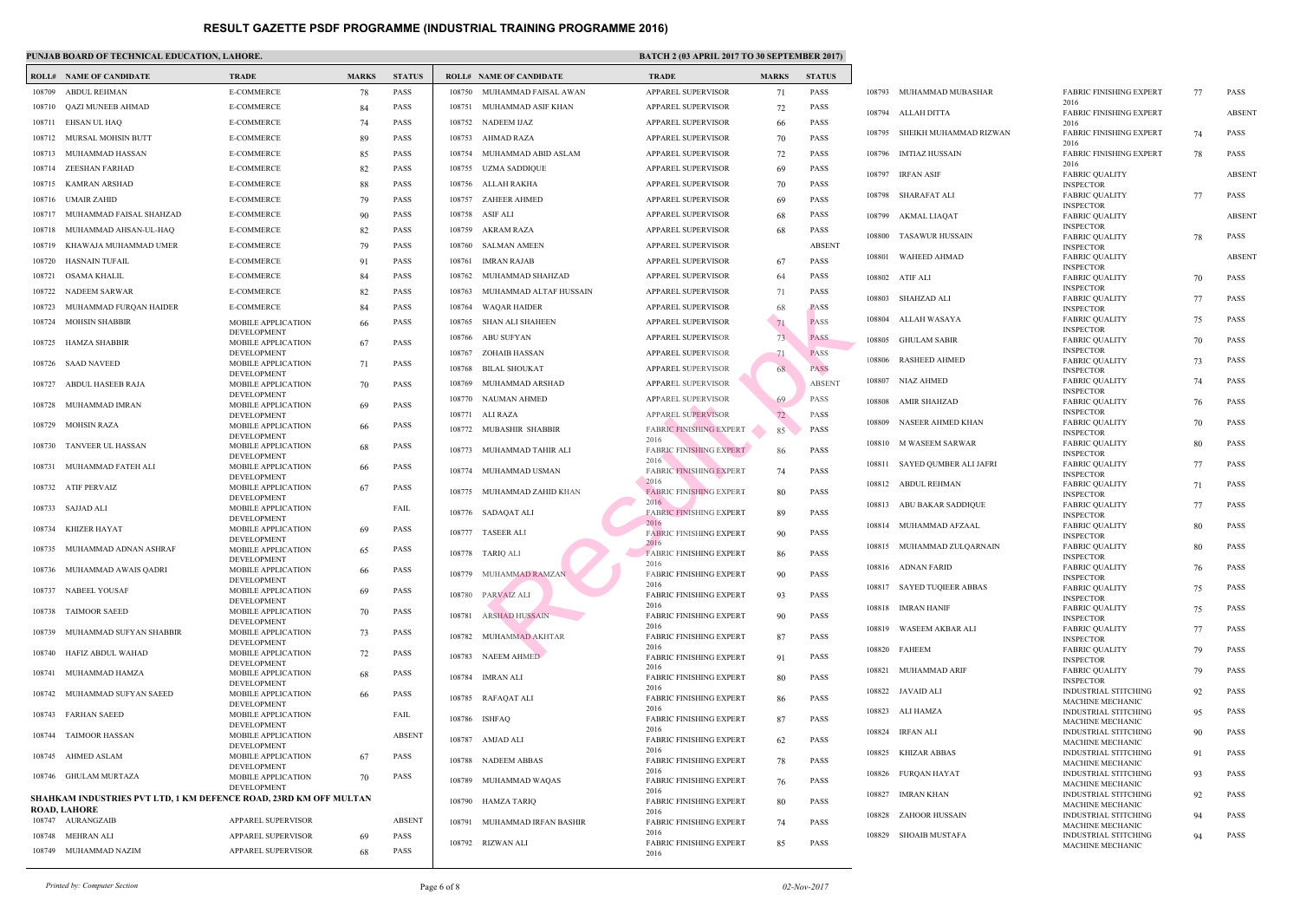|        | <b>ROLL# NAME OF CANDIDATE</b>                                    | <b>TRADE</b>                             | <b>MARKS</b> | <b>STATUS</b> |        | <b>ROLL# NAME OF CANDIDATE</b> | <b>TRAL</b>          |
|--------|-------------------------------------------------------------------|------------------------------------------|--------------|---------------|--------|--------------------------------|----------------------|
| 108709 | ABDUL REHMAN                                                      | <b>E-COMMERCE</b>                        | 78           | <b>PASS</b>   | 108750 | MUHAMMAD FAISAL AWAN           | <b>APPAF</b>         |
| 108710 | QAZI MUNEEB AHMAD                                                 | <b>E-COMMERCE</b>                        | 84           | <b>PASS</b>   | 108751 | MUHAMMAD ASIF KHAN             | <b>APPAF</b>         |
| 108711 | EHSAN UL HAQ                                                      | E-COMMERCE                               | 74           | <b>PASS</b>   |        | 108752 NADEEM IJAZ             | <b>APPAF</b>         |
| 108712 | MURSAL MOHSIN BUTT                                                | E-COMMERCE                               | 89           | <b>PASS</b>   | 108753 | AHMAD RAZA                     | <b>APPAF</b>         |
| 108713 | MUHAMMAD HASSAN                                                   | <b>E-COMMERCE</b>                        | 85           | <b>PASS</b>   | 108754 | MUHAMMAD ABID ASLAM            | <b>APPAF</b>         |
| 108714 | ZEESHAN FARHAD                                                    | <b>E-COMMERCE</b>                        | 82           | <b>PASS</b>   | 108755 | UZMA SADDIQUE                  | APPAF                |
| 108715 | KAMRAN ARSHAD                                                     | E-COMMERCE                               | 88           | <b>PASS</b>   | 108756 | ALLAH RAKHA                    | <b>APPAF</b>         |
| 108716 | <b>UMAIR ZAHID</b>                                                | <b>E-COMMERCE</b>                        | 79           | <b>PASS</b>   | 108757 | <b>ZAHEER AHMED</b>            | <b>APPAF</b>         |
| 108717 | MUHAMMAD FAISAL SHAHZAD                                           | E-COMMERCE                               | 90           | <b>PASS</b>   | 108758 | ASIF ALI                       | APPAF                |
| 108718 | MUHAMMAD AHSAN-UL-HAQ                                             | <b>E-COMMERCE</b>                        | 82           | <b>PASS</b>   | 108759 | AKRAM RAZA                     | <b>APPAF</b>         |
| 108719 | KHAWAJA MUHAMMAD UMER                                             | <b>E-COMMERCE</b>                        | 79           | <b>PASS</b>   | 108760 | SALMAN AMEEN                   | <b>APPAF</b>         |
| 108720 | HASNAIN TUFAIL                                                    | E-COMMERCE                               | 91           | <b>PASS</b>   | 108761 | IMRAN RAJAB                    | <b>APPAF</b>         |
| 108721 | OSAMA KHALIL                                                      | <b>E-COMMERCE</b>                        | 84           | <b>PASS</b>   | 108762 | MUHAMMAD SHAHZAD               | <b>APPAF</b>         |
| 108722 | <b>NADEEM SARWAR</b>                                              | <b>E-COMMERCE</b>                        | 82           | <b>PASS</b>   | 108763 | MUHAMMAD ALTAF HUSSAIN         | <b>APPAF</b>         |
| 108723 | MUHAMMAD FURQAN HAIDER                                            | E-COMMERCE                               | 84           | <b>PASS</b>   | 108764 | WAQAR HAIDER                   | <b>APPAF</b>         |
| 108724 | <b>MOHSIN SHABBIR</b>                                             | MOBILE APPLICATION                       | 66           | <b>PASS</b>   | 108765 | SHAN ALI SHAHEEN               | <b>APPAF</b>         |
|        |                                                                   | <b>DEVELOPMENT</b>                       |              |               | 108766 | <b>ABU SUFYAN</b>              | <b>APPAF</b>         |
| 108725 | HAMZA SHABBIR                                                     | MOBILE APPLICATION<br><b>DEVELOPMENT</b> | 67           | <b>PASS</b>   | 108767 | ZOHAIB HASSAN                  | <b>APPAF</b>         |
| 108726 | <b>SAAD NAVEED</b>                                                | MOBILE APPLICATION                       | 71           | <b>PASS</b>   | 108768 | <b>BILAL SHOUKAT</b>           | <b>APPAF</b>         |
|        |                                                                   | DEVELOPMENT                              |              |               | 108769 | MUHAMMAD ARSHAD                | APPAF                |
| 108727 | ABDUL HASEEB RAJA                                                 | MOBILE APPLICATION<br><b>DEVELOPMENT</b> | 70           | <b>PASS</b>   |        |                                |                      |
| 108728 | MUHAMMAD IMRAN                                                    | MOBILE APPLICATION                       | 69           | <b>PASS</b>   | 108770 | NAUMAN AHMED                   | <b>APPAF</b>         |
| 108729 | MOHSIN RAZA                                                       | <b>DEVELOPMENT</b><br>MOBILE APPLICATION | 66           | <b>PASS</b>   |        | 108771 ALI RAZA                | <b>APPAF</b>         |
|        |                                                                   | <b>DEVELOPMENT</b>                       |              |               | 108772 | MUBASHIR SHABBIR               | FABRI<br>2016        |
| 108730 | TANVEER UL HASSAN                                                 | MOBILE APPLICATION<br><b>DEVELOPMENT</b> | 68           | <b>PASS</b>   | 108773 | MUHAMMAD TAHIR ALI             | FABRI                |
| 108731 | MUHAMMAD FATEH ALI                                                | MOBILE APPLICATION                       | 66           | <b>PASS</b>   | 108774 | MUHAMMAD USMAN                 | 2016<br>FABRI        |
| 108732 | <b>ATIF PERVAIZ</b>                                               | <b>DEVELOPMENT</b><br>MOBILE APPLICATION | 67           | <b>PASS</b>   |        |                                | 2016                 |
|        |                                                                   | DEVELOPMENT                              |              |               |        | 108775 MUHAMMAD ZAHID KHAN     | FABRI<br>2016        |
| 108733 | SAJJAD ALI                                                        | MOBILE APPLICATION<br>DEVELOPMENT        |              | FAIL          |        | 108776 SADAQAT ALI             | <b>FABRI</b>         |
| 108734 | KHIZER HAYAT                                                      | MOBILE APPLICATION                       | 69           | <b>PASS</b>   |        | 108777 TASEER ALI              | 2016<br>FABRI        |
|        |                                                                   | DEVELOPMENT                              |              |               |        |                                | 2016                 |
|        | 108735 MUHAMMAD ADNAN ASHRAF                                      | MOBILE APPLICATION<br>DEVELOPMENT        | 65           | <b>PASS</b>   |        | 108778 TARIQ ALI               | <b>FABR</b>          |
|        | 108736 MUHAMMAD AWAIS QADRI                                       | MOBILE APPLICATION                       | 66           | <b>PASS</b>   | 108779 | MUHAMMAD RAMZAN                | 2016<br>FABRI        |
| 108737 | NABEEL YOUSAF                                                     | DEVELOPMENT<br>MOBILE APPLICATION        | 69           | PASS          |        |                                | 2016                 |
|        |                                                                   | DEVELOPMENT                              |              |               | 108780 | PARVAIZ ALI                    | <b>FABRI</b><br>2016 |
| 108738 | <b>TAIMOOR SAEED</b>                                              | MOBILE APPLICATION<br>DEVELOPMENT        | 70           | PASS          | 108781 | ARSHAD HUSSAIN                 | <b>FABRI</b>         |
| 108739 | MUHAMMAD SUFYAN SHABBIR                                           | MOBILE APPLICATION                       | 73           | PASS          | 108782 | <b>MUHAMMAD AKHTAR</b>         | 2016<br>FABRI        |
| 108740 | HAFIZ ABDUL WAHAD                                                 | DEVELOPMENT<br>MOBILE APPLICATION        | 72           | PASS          |        |                                | 2016                 |
|        |                                                                   | <b>DEVELOPMENT</b>                       |              |               | 108783 | <b>NAEEM AHMED</b>             | FABRI<br>2016        |
| 108741 | MUHAMMAD HAMZA                                                    | MOBILE APPLICATION<br>DEVELOPMENT        | 68           | PASS          | 108784 | <b>IMRAN ALI</b>               | FABRI                |
| 108742 | MUHAMMAD SUFYAN SAEED                                             | MOBILE APPLICATION                       | 66           | PASS          | 108785 | RAFAQAT ALI                    | 2016<br>FABRI        |
|        |                                                                   | <b>DEVELOPMENT</b>                       |              |               |        |                                | 2016                 |
| 108743 | FARHAN SAEED                                                      | MOBILE APPLICATION<br>DEVELOPMENT        |              | FAIL          | 108786 | <b>ISHFAQ</b>                  | FABRI                |
| 108744 | <b>TAIMOOR HASSAN</b>                                             | MOBILE APPLICATION                       |              | <b>ABSENT</b> | 108787 | AMJAD ALI                      | 2016<br>FABRI        |
| 108745 | AHMED ASLAM                                                       | <b>DEVELOPMENT</b><br>MOBILE APPLICATION | 67           | PASS          |        |                                | 2016                 |
|        |                                                                   | DEVELOPMENT                              |              |               | 108788 | NADEEM ABBAS                   | FABRI<br>2016        |
| 108746 | <b>GHULAM MURTAZA</b>                                             | MOBILE APPLICATION<br>DEVELOPMENT        | 70           | PASS          | 108789 | MUHAMMAD WAQAS                 | FABRI                |
|        | SHAHKAM INDUSTRIES PVT LTD, 1 KM DEFENCE ROAD, 23RD KM OFF MULTAN |                                          |              |               | 108790 | HAMZA TARIQ                    | 2016<br>FABRI        |
|        | <b>ROAD, LAHORE</b>                                               |                                          |              |               |        |                                | 2016                 |
|        | 108747 AURANGZAIB                                                 | APPAREL SUPERVISOR                       |              | <b>ABSENT</b> | 108791 | MUHAMMAD IRFAN BASHIR          | FABRI                |
| 108748 | MEHRAN ALI                                                        | APPAREL SUPERVISOR                       | 69           | <b>PASS</b>   |        | 108792 RIZWAN ALI              | 2016<br>FABRI        |
|        | 108749 MUHAMMAD NAZIM                                             | APPAREL SUPERVISOR                       | 68           | PASS          |        |                                | 2016                 |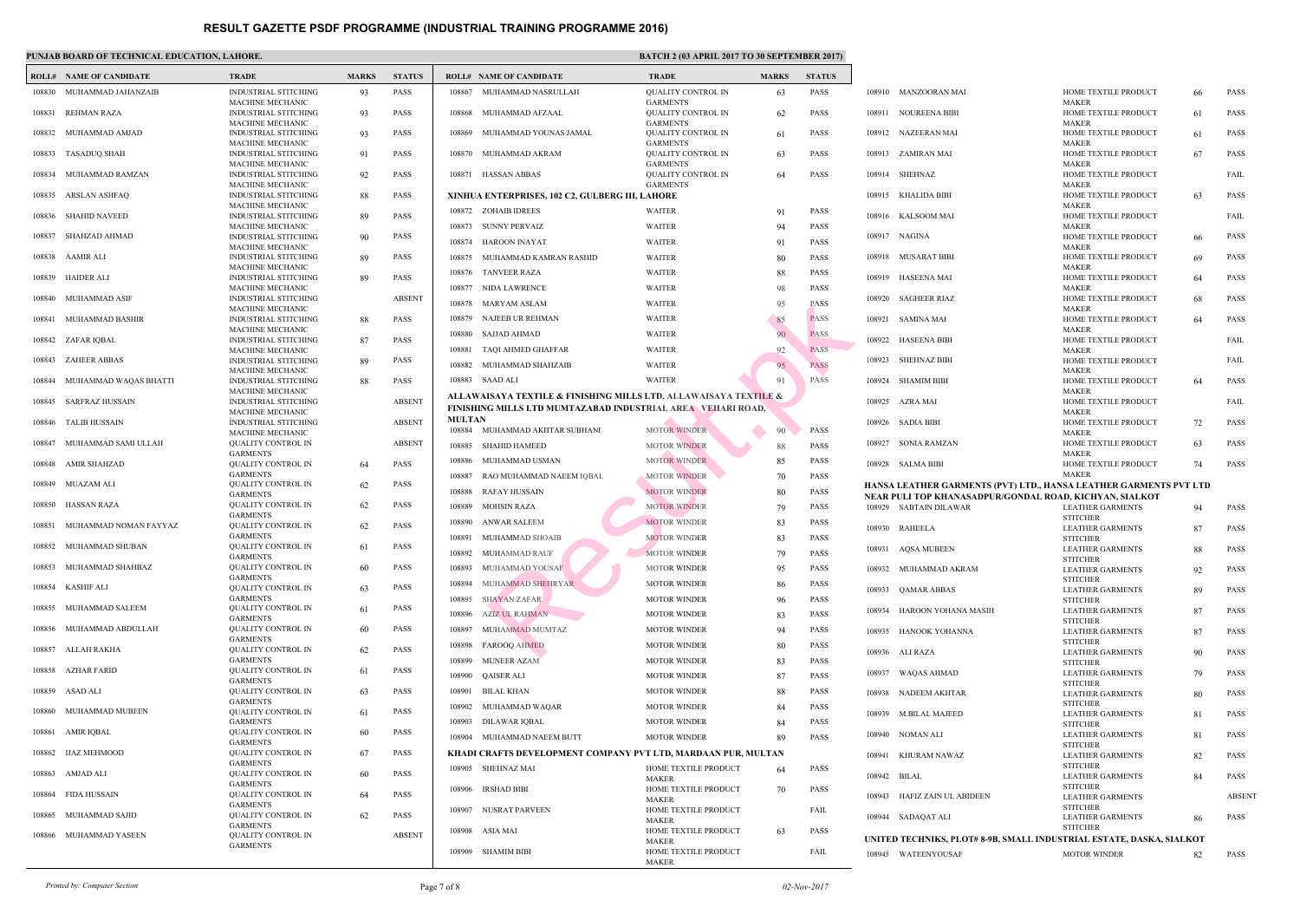MAKE

|        | <b>ROLL# NAME OF CANDIDATE</b> | <b>TRADE</b>                                           | <b>MARKS</b> | <b>STATUS</b> |               | <b>ROLL# NAME OF CANDIDATE</b>                                                          | <b>TRAL</b>                |
|--------|--------------------------------|--------------------------------------------------------|--------------|---------------|---------------|-----------------------------------------------------------------------------------------|----------------------------|
| 108830 | MUHAMMAD JAHANZAIB             | INDUSTRIAL STITCHING                                   | 93           | <b>PASS</b>   | 108867        | MUHAMMAD NASRULLAH                                                                      | <b>QUAL</b>                |
|        | REHMAN RAZA                    | MACHINE MECHANIC<br><b>INDUSTRIAL STITCHING</b>        |              | <b>PASS</b>   | 108868        | MUHAMMAD AFZAAL                                                                         | <b>GARM</b><br><b>QUAL</b> |
| 108831 |                                | MACHINE MECHANIC                                       | 93           |               |               |                                                                                         | <b>GARM</b>                |
| 108832 | MUHAMMAD AMJAD                 | INDUSTRIAL STITCHING<br>MACHINE MECHANIC               | 93           | PASS          | 108869        | MUHAMMAD YOUNAS JAMAL                                                                   | <b>QUAL</b><br><b>GARM</b> |
|        | 108833 TASADUQ SHAH            | <b>INDUSTRIAL STITCHING</b>                            | 91           | <b>PASS</b>   | 108870        | MUHAMMAD AKRAM                                                                          | <b>QUAL</b>                |
| 108834 | MUHAMMAD RAMZAN                | MACHINE MECHANIC<br><b>INDUSTRIAL STITCHING</b>        |              | <b>PASS</b>   |               | 108871 HASSAN ABBAS                                                                     | <b>GARM</b><br><b>QUAL</b> |
|        |                                | <b>MACHINE MECHANIC</b>                                | 92           |               |               |                                                                                         | <b>GARM</b>                |
| 108835 | ARSLAN ASHFAQ                  | <b>INDUSTRIAL STITCHING</b><br><b>MACHINE MECHANIC</b> | 88           | <b>PASS</b>   |               | XINHUA ENTERPRISES, 102 C2, GULBERG III, LAHOF                                          |                            |
| 108836 | <b>SHAHID NAVEED</b>           | <b>INDUSTRIAL STITCHING</b>                            | 89           | <b>PASS</b>   |               | 108872 ZOHAIB IDREES                                                                    | WAITI                      |
| 108837 | SHAHZAD AHMAD                  | <b>MACHINE MECHANIC</b><br>INDUSTRIAL STITCHING        | 90           | PASS          | 108873        | SUNNY PERVAIZ                                                                           | WAITI                      |
|        |                                | MACHINE MECHANIC                                       |              |               | 108874        | HAROON INAYAT                                                                           | <b>WAITI</b>               |
| 108838 | AAMIR ALI                      | <b>INDUSTRIAL STITCHING</b><br>MACHINE MECHANIC        | 89           | <b>PASS</b>   | 108875        | MUHAMMAD KAMRAN RASHID                                                                  | <b>WAITI</b>               |
| 108839 | HAIDER ALI                     | <b>INDUSTRIAL STITCHING</b>                            | 89           | <b>PASS</b>   | 108876        | <b>TANVEER RAZA</b>                                                                     | WAITI                      |
| 108840 | MUHAMMAD ASIF                  | MACHINE MECHANIC<br><b>INDUSTRIAL STITCHING</b>        |              | <b>ABSENT</b> | 108877        | NIDA LAWRENCE                                                                           | <b>WAITI</b>               |
|        |                                | <b>MACHINE MECHANIC</b>                                |              |               | 108878        | MARYAM ASLAM                                                                            | WAITI                      |
| 108841 | MUHAMMAD BASHIR                | <b>INDUSTRIAL STITCHING</b><br><b>MACHINE MECHANIC</b> | 88           | <b>PASS</b>   | 108879        | NAJEEB UR REHMAN                                                                        | WAITI                      |
| 108842 | ZAFAR IQBAL                    | <b>INDUSTRIAL STITCHING</b>                            | 87           | PASS          | 108880        | SAJJAD AHMAD                                                                            | <b>WAITI</b>               |
| 108843 | <b>ZAHEER ABBAS</b>            | MACHINE MECHANIC<br><b>INDUSTRIAL STITCHING</b>        | 89           | <b>PASS</b>   | 108881        | TAQI AHMED GHAFFAR                                                                      | <b>WAITI</b>               |
|        |                                | MACHINE MECHANIC                                       |              |               | 108882        | MUHAMMAD SHAHZAIB                                                                       | <b>WAITI</b>               |
| 108844 | MUHAMMAD WAQAS BHATTI          | <b>INDUSTRIAL STITCHING</b><br>MACHINE MECHANIC        | 88           | <b>PASS</b>   | 108883        | SAAD ALI                                                                                | WAITI                      |
| 108845 | <b>SARFRAZ HUSSAIN</b>         | <b>INDUSTRIAL STITCHING</b>                            |              | <b>ABSENT</b> |               | ALLAWAISAYA TEXTILE & FINISHING MILLS LTD,<br>FINISHING MILLS LTD MUMTAZABAD INDUSTRIAL |                            |
| 108846 | <b>TALIB HUSSAIN</b>           | <b>MACHINE MECHANIC</b><br><b>INDUSTRIAL STITCHING</b> |              | <b>ABSENT</b> | <b>MULTAN</b> |                                                                                         |                            |
|        |                                | <b>MACHINE MECHANIC</b>                                |              |               | 108884        | MUHAMMAD AKHTAR SUBHANI                                                                 | <b>MOTO</b>                |
| 108847 | MUHAMMAD SAMI ULLAH            | QUALITY CONTROL IN<br><b>GARMENTS</b>                  |              | <b>ABSENT</b> | 108885        | <b>SHAHID HAMEED</b>                                                                    | <b>MOTO</b>                |
| 108848 | <b>AMIR SHAHZAD</b>            | <b>QUALITY CONTROL IN</b>                              | 64           | <b>PASS</b>   | 108886        | MUHAMMAD USMAN                                                                          | <b>MOTO</b>                |
| 108849 | MUAZAM ALI                     | <b>GARMENTS</b><br><b>OUALITY CONTROL IN</b>           | 62           | <b>PASS</b>   | 108887        | RAO MUHAMMAD NAEEM IQBAL                                                                | <b>MOTO</b>                |
|        |                                | <b>GARMENTS</b>                                        |              |               | 108888        | <b>RAFAY HUSSAIN</b>                                                                    | <b>MOTO</b>                |
| 108850 | <b>HASSAN RAZA</b>             | <b>QUALITY CONTROL IN</b><br><b>GARMENTS</b>           | 62           | <b>PASS</b>   | 108889        | <b>MOHSIN RAZA</b>                                                                      | <b>MOTO</b>                |
| 108851 | MUHAMMAD NOMAN FAYYAZ          | QUALITY CONTROL IN                                     | 62           | <b>PASS</b>   | 108890        | <b>ANWAR SALEEM</b>                                                                     | <b>MOTO</b>                |
|        | 108852 MUHAMMAD SHUBAN         | <b>GARMENTS</b><br><b>QUALITY CONTROL IN</b>           | 61           | <b>PASS</b>   | 108891        | MUHAMMAD SHOAIB                                                                         | <b>MOTO</b>                |
|        |                                | <b>GARMENTS</b>                                        |              |               | 108892        | MUHAMMAD RAUF                                                                           | <b>MOTO</b>                |
|        | 108853 MUHAMMAD SHAHBAZ        | <b>QUALITY CONTROL IN</b><br><b>GARMENTS</b>           | 60           | <b>PASS</b>   | 108893        | MUHAMMAD YOUSAF                                                                         | <b>MOTO</b>                |
| 108854 | <b>KASHIF ALI</b>              | <b>QUALITY CONTROL IN</b>                              | 63           | <b>PASS</b>   | 108894        | MUHAMMAD SHEHRYAR                                                                       | <b>MOTO</b>                |
| 108855 | MUHAMMAD SALEEM                | <b>GARMENTS</b><br>QUALITY CONTROL IN                  | 61           | PASS          | 108895        | <b>SHAYAN ZAFAR</b>                                                                     | <b>MOTO</b>                |
|        |                                | <b>GARMENTS</b>                                        |              |               | 108896        | <b>AZIZ UL RAHMAN</b>                                                                   | <b>MOTO</b>                |
| 108856 | MUHAMMAD ABDULLAH              | <b>OUALITY CONTROL IN</b><br><b>GARMENTS</b>           | 60           | <b>PASS</b>   | 108897        | MUHAMMAD MUMTAZ                                                                         | <b>MOTO</b>                |
| 108857 | ALLAH RAKHA                    | <b>QUALITY CONTROL IN</b>                              | 62           | PASS          | 108898        | <b>FAROOQ AHMED</b>                                                                     | <b>MOTO</b>                |
| 108858 | <b>AZHAR FARID</b>             | <b>GARMENTS</b><br>QUALITY CONTROL IN                  | 61           | <b>PASS</b>   | 108899        | <b>MUNEER AZAM</b>                                                                      | <b>MOTO</b>                |
|        |                                | <b>GARMENTS</b>                                        |              |               | 108900        | <b>QAISER ALI</b>                                                                       | <b>MOTO</b>                |
| 108859 | ASAD ALI                       | <b>OUALITY CONTROL IN</b><br><b>GARMENTS</b>           | 63           | PASS          | 108901        | <b>BILAL KHAN</b>                                                                       | <b>MOTO</b>                |
| 108860 | MUHAMMAD MUBEEN                | <b>QUALITY CONTROL IN</b>                              | 61           | <b>PASS</b>   | 108902        | MUHAMMAD WAQAR                                                                          | <b>MOTO</b>                |
| 108861 | AMIR IQBAL                     | <b>GARMENTS</b><br><b>QUALITY CONTROL IN</b>           | 60           | <b>PASS</b>   | 108903        | DILAWAR IQBAL                                                                           | <b>MOTO</b>                |
|        |                                | <b>GARMENTS</b>                                        |              |               | 108904        | MUHAMMAD NAEEM BUTT                                                                     | <b>MOTO</b>                |
| 108862 | IJAZ MEHMOOD                   | QUALITY CONTROL IN<br><b>GARMENTS</b>                  | 67           | PASS          |               | KHADI CRAFTS DEVELOPMENT COMPANY PVT LTI                                                |                            |
| 108863 | AMJAD ALI                      | <b>QUALITY CONTROL IN</b>                              | 60           | <b>PASS</b>   | 108905        | SHEHNAZ MAI                                                                             | <b>HOME</b><br><b>MAKE</b> |
| 108864 | <b>FIDA HUSSAIN</b>            | <b>GARMENTS</b><br><b>QUALITY CONTROL IN</b>           | 64           | PASS          | 108906        | IRSHAD BIBI                                                                             | <b>HOME</b>                |
|        |                                | <b>GARMENTS</b>                                        |              |               | 108907        | NUSRAT PARVEEN                                                                          | <b>MAKE</b><br><b>HOME</b> |
| 108865 | MUHAMMAD SAJID                 | QUALITY CONTROL IN<br><b>GARMENTS</b>                  | 62           | <b>PASS</b>   |               |                                                                                         | <b>MAKE</b>                |
|        | 108866 MUHAMMAD YASEEN         | <b>QUALITY CONTROL IN</b>                              |              | <b>ABSENT</b> | 108908        | ASIA MAI                                                                                | <b>HOME</b><br><b>MAKE</b> |
|        |                                | <b>GARMENTS</b>                                        |              |               | 108909        | SHAMIM BIBI                                                                             | <b>HOME</b>                |